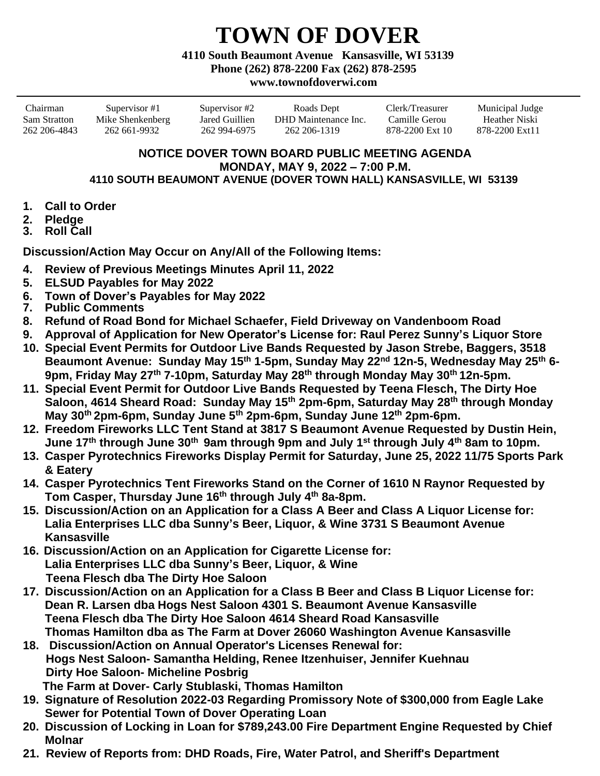## **TOWN OF DOVER**

**4110 South Beaumont Avenue Kansasville, WI 53139**

**Phone (262) 878-2200 Fax (262) 878-2595**

## **www.townofdoverwi.com**

Chairman Supervisor #1 Supervisor #2 Roads Dept Clerk/Treasurer Municipal Judge Sam Stratton Mike Shenkenberg Jared Guillien DHD Maintenance Inc. Camille Gerou Heather Niski 262 206-4843 262 661-9932 262 994-6975 262 206-1319 878-2200 Ext 10 878-2200 Ext11

## **NOTICE DOVER TOWN BOARD PUBLIC MEETING AGENDA MONDAY, MAY 9, 2022 – 7:00 P.M. 4110 SOUTH BEAUMONT AVENUE (DOVER TOWN HALL) KANSASVILLE, WI 53139**

- **1. Call to Order**
- **2. Pledge**
- **3. Roll Call**

**Discussion/Action May Occur on Any/All of the Following Items:**

- **4. Review of Previous Meetings Minutes April 11, 2022**
- **5. ELSUD Payables for May 2022**
- **6. Town of Dover's Payables for May 2022**
- **7. Public Comments**
- **8. Refund of Road Bond for Michael Schaefer, Field Driveway on Vandenboom Road**
- **9. Approval of Application for New Operator's License for: Raul Perez Sunny's Liquor Store**
- **10. Special Event Permits for Outdoor Live Bands Requested by Jason Strebe, Baggers, 3518 Beaumont Avenue: Sunday May 15th 1-5pm, Sunday May 22nd 12n-5, Wednesday May 25th 6- 9pm, Friday May 27th 7-10pm, Saturday May 28th through Monday May 30th 12n-5pm.**
- **11. Special Event Permit for Outdoor Live Bands Requested by Teena Flesch, The Dirty Hoe Saloon, 4614 Sheard Road: Sunday May 15th 2pm-6pm, Saturday May 28th through Monday May 30th 2pm-6pm, Sunday June 5th 2pm-6pm, Sunday June 12th 2pm-6pm.**
- **12. Freedom Fireworks LLC Tent Stand at 3817 S Beaumont Avenue Requested by Dustin Hein, June 17th through June 30th 9am through 9pm and July 1st through July 4th 8am to 10pm.**
- **13. Casper Pyrotechnics Fireworks Display Permit for Saturday, June 25, 2022 11/75 Sports Park & Eatery**
- **14. Casper Pyrotechnics Tent Fireworks Stand on the Corner of 1610 N Raynor Requested by Tom Casper, Thursday June 16th through July 4th 8a-8pm.**
- **15. Discussion/Action on an Application for a Class A Beer and Class A Liquor License for: Lalia Enterprises LLC dba Sunny's Beer, Liquor, & Wine 3731 S Beaumont Avenue Kansasville**
- **16. Discussion/Action on an Application for Cigarette License for: Lalia Enterprises LLC dba Sunny's Beer, Liquor, & Wine Teena Flesch dba The Dirty Hoe Saloon**
- **17. Discussion/Action on an Application for a Class B Beer and Class B Liquor License for: Dean R. Larsen dba Hogs Nest Saloon 4301 S. Beaumont Avenue Kansasville Teena Flesch dba The Dirty Hoe Saloon 4614 Sheard Road Kansasville Thomas Hamilton dba as The Farm at Dover 26060 Washington Avenue Kansasville**
- **18. Discussion/Action on Annual Operator's Licenses Renewal for: Hogs Nest Saloon- Samantha Helding, Renee Itzenhuiser, Jennifer Kuehnau Dirty Hoe Saloon- Micheline Posbrig The Farm at Dover- Carly Stublaski, Thomas Hamilton**
- **19. Signature of Resolution 2022-03 Regarding Promissory Note of \$300,000 from Eagle Lake Sewer for Potential Town of Dover Operating Loan**
- **20. Discussion of Locking in Loan for \$789,243.00 Fire Department Engine Requested by Chief Molnar**
- **21. Review of Reports from: DHD Roads, Fire, Water Patrol, and Sheriff's Department**